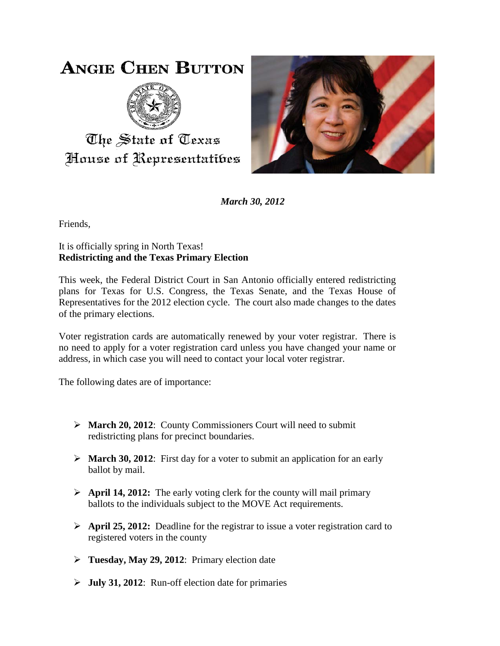## **ANGIE CHEN BUTTON**



The State of Texas House of Representatibes



*March 30, 2012*

Friends,

## It is officially spring in North Texas! **Redistricting and the Texas Primary Election**

This week, the Federal District Court in San Antonio officially entered redistricting plans for Texas for U.S. Congress, the Texas Senate, and the Texas House of Representatives for the 2012 election cycle. The court also made changes to the dates of the primary elections.

Voter registration cards are automatically renewed by your voter registrar. There is no need to apply for a voter registration card unless you have changed your name or address, in which case you will need to contact your local voter registrar.

The following dates are of importance:

- **March 20, 2012**: County Commissioners Court will need to submit redistricting plans for precinct boundaries.
- $\triangleright$  **March 30, 2012**: First day for a voter to submit an application for an early ballot by mail.
- **April 14, 2012:** The early voting clerk for the county will mail primary ballots to the individuals subject to the MOVE Act requirements.
- **April 25, 2012:** Deadline for the registrar to issue a voter registration card to registered voters in the county
- **Tuesday, May 29, 2012**: Primary election date
- **July 31, 2012**: Run-off election date for primaries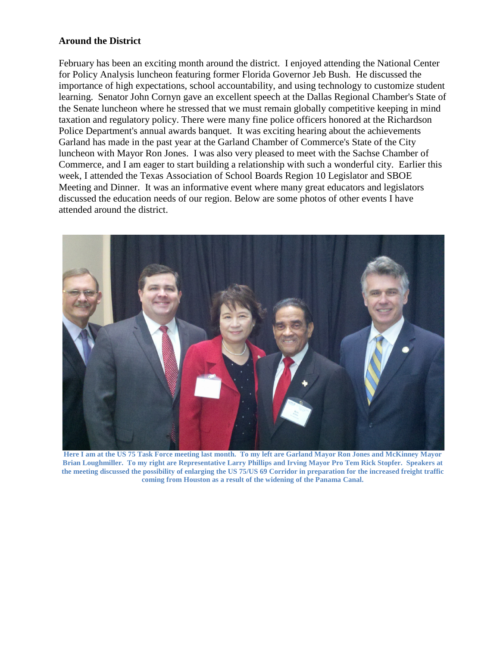## **Around the District**

February has been an exciting month around the district. I enjoyed attending the National Center for Policy Analysis luncheon featuring former Florida Governor Jeb Bush. He discussed the importance of high expectations, school accountability, and using technology to customize student learning. Senator John Cornyn gave an excellent speech at the Dallas Regional Chamber's State of the Senate luncheon where he stressed that we must remain globally competitive keeping in mind taxation and regulatory policy. There were many fine police officers honored at the Richardson Police Department's annual awards banquet. It was exciting hearing about the achievements Garland has made in the past year at the Garland Chamber of Commerce's State of the City luncheon with Mayor Ron Jones. I was also very pleased to meet with the Sachse Chamber of Commerce, and I am eager to start building a relationship with such a wonderful city. Earlier this week, I attended the Texas Association of School Boards Region 10 Legislator and SBOE Meeting and Dinner. It was an informative event where many great educators and legislators discussed the education needs of our region. Below are some photos of other events I have attended around the district.



**Here I am at the US 75 Task Force meeting last month. To my left are Garland Mayor Ron Jones and McKinney Mayor Brian Loughmiller. To my right are Representative Larry Phillips and Irving Mayor Pro Tem Rick Stopfer. Speakers at the meeting discussed the possibility of enlarging the US 75/US 69 Corridor in preparation for the increased freight traffic coming from Houston as a result of the widening of the Panama Canal.**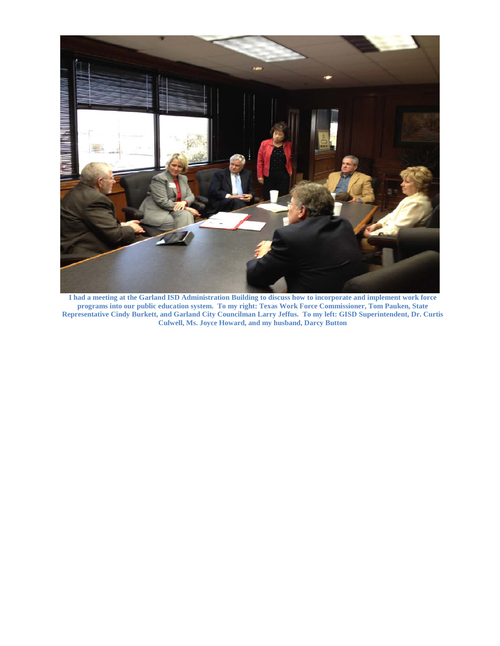

**I had a meeting at the Garland ISD Administration Building to discuss how to incorporate and implement work force programs into our public education system. To my right: Texas Work Force Commissioner, Tom Pauken, State Representative Cindy Burkett, and Garland City Councilman Larry Jeffus. To my left: GISD Superintendent, Dr. Curtis Culwell, Ms. Joyce Howard, and my husband, Darcy Button**